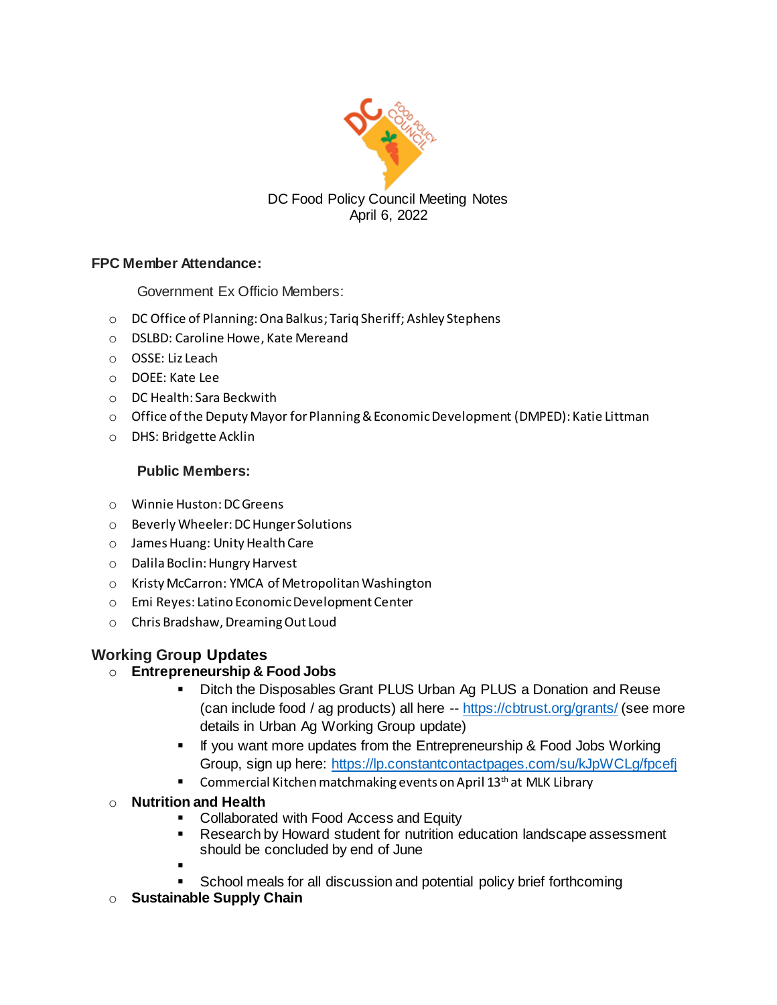

# **FPC Member Attendance:**

Government Ex Officio Members:

- o DC Office of Planning: Ona Balkus; Tariq Sheriff; Ashley Stephens
- o DSLBD: Caroline Howe, Kate Mereand
- o OSSE: Liz Leach
- o DOEE: Kate Lee
- o DC Health: Sara Beckwith
- $\circ$  Office of the Deputy Mayor for Planning & Economic Development (DMPED): Katie Littman
- o DHS: Bridgette Acklin

#### **Public Members:**

- o Winnie Huston: DC Greens
- o Beverly Wheeler: DC Hunger Solutions
- o James Huang: Unity Health Care
- o Dalila Boclin: Hungry Harvest
- o Kristy McCarron: YMCA of Metropolitan Washington
- o Emi Reyes: Latino Economic Development Center
- o Chris Bradshaw, Dreaming Out Loud

# **Working Group Updates**

# o **Entrepreneurship & Food Jobs**

- Ditch the Disposables Grant PLUS Urban Ag PLUS a Donation and Reuse (can include food / ag products) all here -- <https://cbtrust.org/grants/> (see more details in Urban Ag Working Group update)
- If you want more updates from the Entrepreneurship & Food Jobs Working Group, sign up here:<https://lp.constantcontactpages.com/su/kJpWCLg/fpcefj>
- Commercial Kitchen matchmaking events on April 13<sup>th</sup> at MLK Library

# o **Nutrition and Health**

- Collaborated with Food Access and Equity
- Research by Howard student for nutrition education landscape assessment should be concluded by end of June
- -
- School meals for all discussion and potential policy brief forthcoming
- o **Sustainable Supply Chain**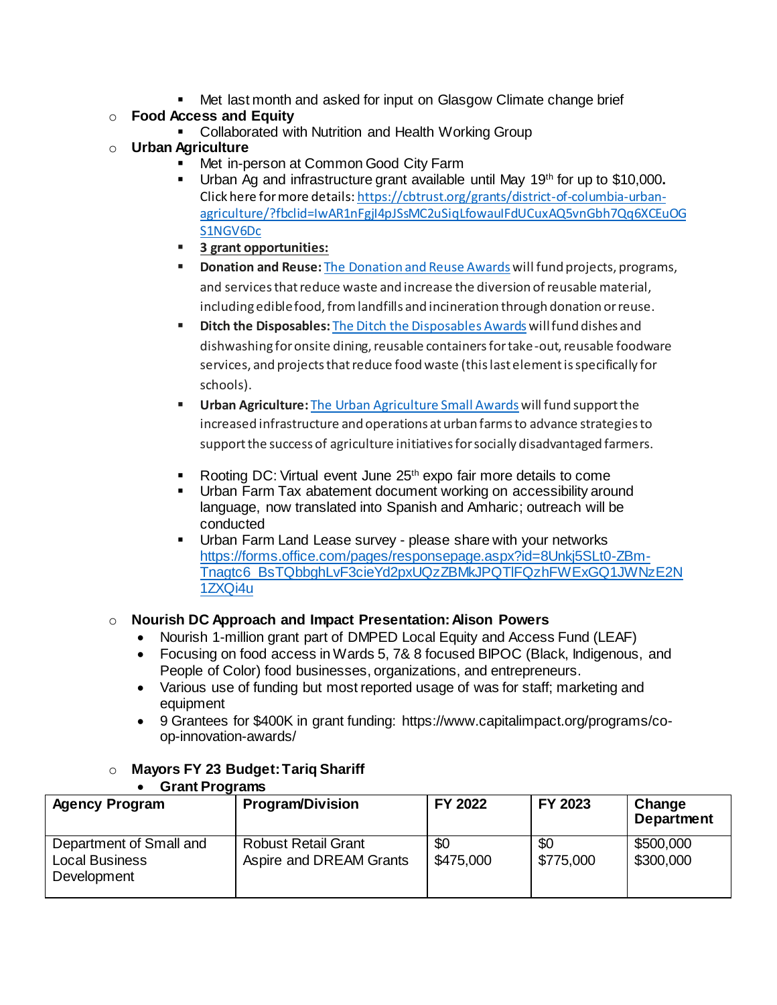■ Met last month and asked for input on Glasgow Climate change brief

# o **Food Access and Equity**

■ Collaborated with Nutrition and Health Working Group

# o **Urban Agriculture**

- Met in-person at Common Good City Farm
- Urban Ag and infrastructure grant available until May 19th for up to \$10,000**.**  Click here for more details[: https://cbtrust.org/grants/district-of-columbia-urban](https://cbtrust.org/grants/district-of-columbia-urban-agriculture/?fbclid=IwAR1nFgjI4pJSsMC2uSiqLfowauIFdUCuxAQ5vnGbh7Qq6XCEuOGS1NGV6Dc)[agriculture/?fbclid=IwAR1nFgjI4pJSsMC2uSiqLfowauIFdUCuxAQ5vnGbh7Qq6XCEuOG](https://cbtrust.org/grants/district-of-columbia-urban-agriculture/?fbclid=IwAR1nFgjI4pJSsMC2uSiqLfowauIFdUCuxAQ5vnGbh7Qq6XCEuOGS1NGV6Dc) [S1NGV6Dc](https://cbtrust.org/grants/district-of-columbia-urban-agriculture/?fbclid=IwAR1nFgjI4pJSsMC2uSiqLfowauIFdUCuxAQ5vnGbh7Qq6XCEuOGS1NGV6Dc)
- **3 grant opportunities:**
- **Donation and Reuse:** The [Donation](https://cbtrust.org/grants/district-of-columbia-donation-reuse/) and Reuse Awards will fund projects, programs, and services that reduce waste and increase the diversion of reusable material, including edible food, from landfills and incineration through donation or reuse.
- **Ditch the Disposables:** The Ditch the [Disposables](https://cbtrust.org/grants/district-of-columbia-ditch-the-disposables/) Awards will fund dishes and dishwashing for onsite dining, reusable containers for take-out, reusable foodware services, and projects that reduce food waste (this last element is specifically for schools).
- **Urban Agriculture:** The Urban [Agriculture](https://cbtrust.org/grants/district-of-columbia-urban-agriculture/) Small Awards will fund support the increased infrastructure and operations at urban farms to advance strategies to support the success of agriculture initiatives for socially disadvantaged farmers.
- Rooting DC: Virtual event June 25<sup>th</sup> expo fair more details to come
- Urban Farm Tax abatement document working on accessibility around language, now translated into Spanish and Amharic; outreach will be conducted
- Urban Farm Land Lease survey please share with your networks [https://forms.office.com/pages/responsepage.aspx?id=8Unkj5SLt0-ZBm-](https://forms.office.com/pages/responsepage.aspx?id=8Unkj5SLt0-ZBm-Tnagtc6_BsTQbbghLvF3cieYd2pxUQzZBMkJPQTlFQzhFWExGQ1JWNzE2N1ZXQi4u)[Tnagtc6\\_BsTQbbghLvF3cieYd2pxUQzZBMkJPQTlFQzhFWExGQ1JWNzE2N](https://forms.office.com/pages/responsepage.aspx?id=8Unkj5SLt0-ZBm-Tnagtc6_BsTQbbghLvF3cieYd2pxUQzZBMkJPQTlFQzhFWExGQ1JWNzE2N1ZXQi4u) [1ZXQi4u](https://forms.office.com/pages/responsepage.aspx?id=8Unkj5SLt0-ZBm-Tnagtc6_BsTQbbghLvF3cieYd2pxUQzZBMkJPQTlFQzhFWExGQ1JWNzE2N1ZXQi4u)

# o **Nourish DC Approach and Impact Presentation: Alison Powers**

- Nourish 1-million grant part of DMPED Local Equity and Access Fund (LEAF)
- Focusing on food access in Wards 5, 7& 8 focused BIPOC (Black, Indigenous, and People of Color) food businesses, organizations, and entrepreneurs.
- Various use of funding but most reported usage of was for staff; marketing and equipment
- 9 Grantees for \$400K in grant funding: https://www.capitalimpact.org/programs/coop-innovation-awards/

# o **Mayors FY 23 Budget:Tariq Shariff**

| Grant Programs                                                  |                                                       |                  |                  |                             |
|-----------------------------------------------------------------|-------------------------------------------------------|------------------|------------------|-----------------------------|
| <b>Agency Program</b>                                           | <b>Program/Division</b>                               | FY 2022          | FY 2023          | Change<br><b>Department</b> |
| Department of Small and<br><b>Local Business</b><br>Development | <b>Robust Retail Grant</b><br>Aspire and DREAM Grants | \$0<br>\$475,000 | \$0<br>\$775,000 | \$500,000<br>\$300,000      |

# • **Grant Programs**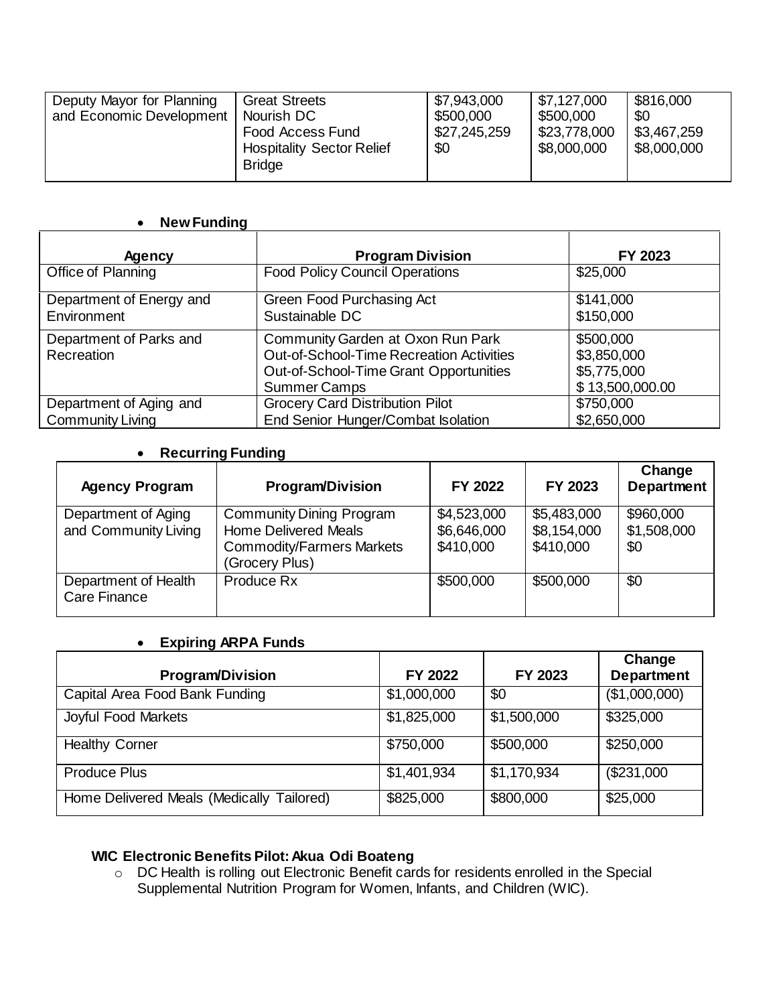| Deputy Mayor for Planning<br>and Economic Development | <b>Great Streets</b><br>Nourish DC<br>Food Access Fund<br><b>Hospitality Sector Relief</b><br><b>Bridge</b> | \$7,943,000<br>\$500,000<br>\$27,245,259<br>\$0 | \$7,127,000<br>\$500,000<br>\$23,778,000<br>\$8,000,000 | \$816,000<br>\$0<br>\$3,467,259<br>\$8,000,000 |
|-------------------------------------------------------|-------------------------------------------------------------------------------------------------------------|-------------------------------------------------|---------------------------------------------------------|------------------------------------------------|
|-------------------------------------------------------|-------------------------------------------------------------------------------------------------------------|-------------------------------------------------|---------------------------------------------------------|------------------------------------------------|

#### • **New Funding**

| <b>Agency</b>            | <b>Program Division</b>                  | FY 2023         |
|--------------------------|------------------------------------------|-----------------|
| Office of Planning       | <b>Food Policy Council Operations</b>    | \$25,000        |
| Department of Energy and | Green Food Purchasing Act                | \$141,000       |
| Environment              | Sustainable DC                           | \$150,000       |
| Department of Parks and  | Community Garden at Oxon Run Park        | \$500,000       |
| Recreation               | Out-of-School-Time Recreation Activities | \$3,850,000     |
|                          | Out-of-School-Time Grant Opportunities   | \$5,775,000     |
|                          | <b>Summer Camps</b>                      | \$13,500,000.00 |
| Department of Aging and  | <b>Grocery Card Distribution Pilot</b>   | \$750,000       |
| <b>Community Living</b>  | End Senior Hunger/Combat Isolation       | \$2,650,000     |

#### • **Recurring Funding**

| <b>Agency Program</b>                       | <b>Program/Division</b>                                                                                              | FY 2022                                 | FY 2023                                 | Change<br><b>Department</b>     |
|---------------------------------------------|----------------------------------------------------------------------------------------------------------------------|-----------------------------------------|-----------------------------------------|---------------------------------|
| Department of Aging<br>and Community Living | <b>Community Dining Program</b><br><b>Home Delivered Meals</b><br><b>Commodity/Farmers Markets</b><br>(Grocery Plus) | \$4,523,000<br>\$6,646,000<br>\$410,000 | \$5,483,000<br>\$8,154,000<br>\$410,000 | \$960,000<br>\$1,508,000<br>\$0 |
| Department of Health<br><b>Care Finance</b> | Produce Rx                                                                                                           | \$500,000                               | \$500,000                               | \$0                             |

#### • **Expiring ARPA Funds**

| <b>Program/Division</b>                   | FY 2022     | FY 2023     | Change<br>Department |
|-------------------------------------------|-------------|-------------|----------------------|
| Capital Area Food Bank Funding            | \$1,000,000 | \$0         | (\$1,000,000)        |
| Joyful Food Markets                       | \$1,825,000 | \$1,500,000 | \$325,000            |
| <b>Healthy Corner</b>                     | \$750,000   | \$500,000   | \$250,000            |
| <b>Produce Plus</b>                       | \$1,401,934 | \$1,170,934 | (\$231,000           |
| Home Delivered Meals (Medically Tailored) | \$825,000   | \$800,000   | \$25,000             |

#### **WIC Electronic Benefits Pilot: Akua Odi Boateng**

o DC Health is rolling out Electronic Benefit cards for residents enrolled in the Special Supplemental Nutrition Program for Women, Infants, and Children (WIC).